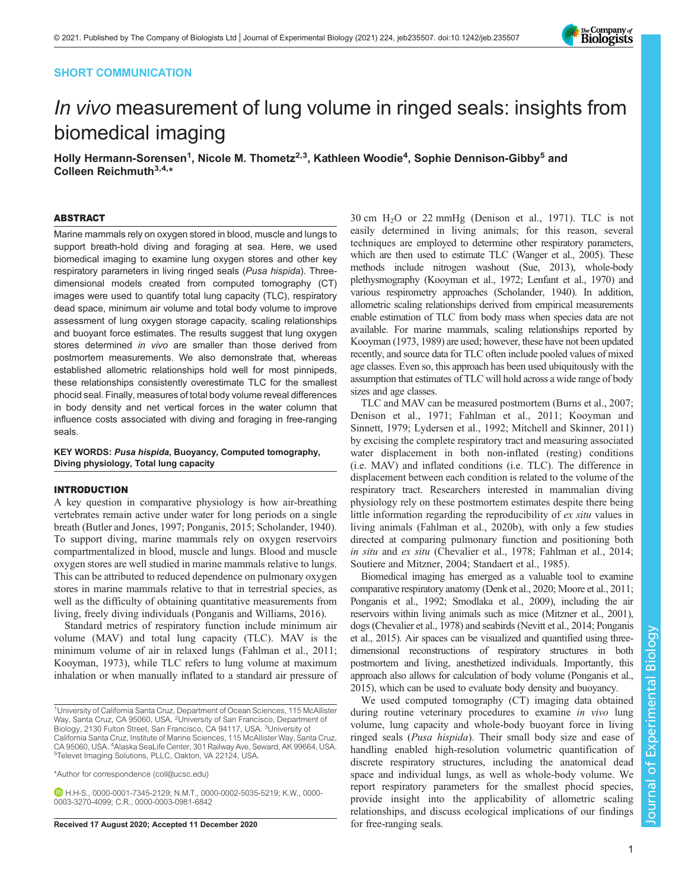## SHORT COMMUNICATION



# In vivo measurement of lung volume in ringed seals: insights from biomedical imaging

Holly Hermann-Sorensen<sup>1</sup>, Nicole M. Thometz<sup>2,3</sup>, Kathleen Woodie<sup>4</sup>, Sophie Dennison-Gibby<sup>5</sup> and Colleen Reichmuth<sup>3,4,\*</sup>

#### ABSTRACT

Marine mammals rely on oxygen stored in blood, muscle and lungs to support breath-hold diving and foraging at sea. Here, we used biomedical imaging to examine lung oxygen stores and other key respiratory parameters in living ringed seals (Pusa hispida). Threedimensional models created from computed tomography (CT) images were used to quantify total lung capacity (TLC), respiratory dead space, minimum air volume and total body volume to improve assessment of lung oxygen storage capacity, scaling relationships and buoyant force estimates. The results suggest that lung oxygen stores determined in vivo are smaller than those derived from postmortem measurements. We also demonstrate that, whereas established allometric relationships hold well for most pinnipeds, these relationships consistently overestimate TLC for the smallest phocid seal. Finally, measures of total body volume reveal differences in body density and net vertical forces in the water column that influence costs associated with diving and foraging in free-ranging seals.

KEY WORDS: Pusa hispida, Buoyancy, Computed tomography, Diving physiology, Total lung capacity

## INTRODUCTION

A key question in comparative physiology is how air-breathing vertebrates remain active under water for long periods on a single breath [\(Butler and Jones, 1997; Ponganis, 2015](#page-5-0); [Scholander, 1940\)](#page-5-0). To support diving, marine mammals rely on oxygen reservoirs compartmentalized in blood, muscle and lungs. Blood and muscle oxygen stores are well studied in marine mammals relative to lungs. This can be attributed to reduced dependence on pulmonary oxygen stores in marine mammals relative to that in terrestrial species, as well as the difficulty of obtaining quantitative measurements from living, freely diving individuals ([Ponganis and Williams, 2016\)](#page-5-0).

Standard metrics of respiratory function include minimum air volume (MAV) and total lung capacity (TLC). MAV is the minimum volume of air in relaxed lungs ([Fahlman et al., 2011](#page-5-0); [Kooyman, 1973](#page-5-0)), while TLC refers to lung volume at maximum inhalation or when manually inflated to a standard air pressure of

H.H-S., [0000-0001-7345-2129](http://orcid.org/0000-0001-7345-2129); N.M.T., [0000-0002-5035-5219;](http://orcid.org/0000-0002-5035-5219) K.W., [0000-](http://orcid.org/0000-0003-3270-4099) [0003-3270-4099;](http://orcid.org/0000-0003-3270-4099) C.R., [0000-0003-0981-6842](http://orcid.org/0000-0003-0981-6842)

Received 17 August 2020; Accepted 11 December 2020 for free-ranging seals.

 $30 \text{ cm}$  H<sub>2</sub>O or 22 mmHg [\(Denison et al., 1971\)](#page-5-0). TLC is not easily determined in living animals; for this reason, several techniques are employed to determine other respiratory parameters, which are then used to estimate TLC [\(Wanger et al., 2005\)](#page-5-0). These methods include nitrogen washout [\(Sue, 2013](#page-5-0)), whole-body plethysmography ([Kooyman et al., 1972](#page-5-0); [Lenfant et al., 1970\)](#page-5-0) and various respirometry approaches ([Scholander, 1940\)](#page-5-0). In addition, allometric scaling relationships derived from empirical measurements enable estimation of TLC from body mass when species data are not available. For marine mammals, scaling relationships reported by [Kooyman \(1973, 1989\)](#page-5-0) are used; however, these have not been updated recently, and source data for TLC often include pooled values of mixed age classes. Even so, this approach has been used ubiquitously with the assumption that estimates of TLC will hold across a wide range of body sizes and age classes.

TLC and MAV can be measured postmortem [\(Burns et al., 2007](#page-5-0); [Denison et al., 1971; Fahlman et al., 2011; Kooyman and](#page-5-0) [Sinnett, 1979](#page-5-0); [Lydersen et al., 1992](#page-5-0); [Mitchell and Skinner, 2011\)](#page-5-0) by excising the complete respiratory tract and measuring associated water displacement in both non-inflated (resting) conditions (i.e. MAV) and inflated conditions (i.e. TLC). The difference in displacement between each condition is related to the volume of the respiratory tract. Researchers interested in mammalian diving physiology rely on these postmortem estimates despite there being little information regarding the reproducibility of ex situ values in living animals [\(Fahlman et al., 2020b](#page-5-0)), with only a few studies directed at comparing pulmonary function and positioning both in situ and ex situ ([Chevalier et al., 1978](#page-5-0); [Fahlman et al., 2014](#page-5-0); [Soutiere and Mitzner, 2004; Standaert et al., 1985\)](#page-5-0).

Biomedical imaging has emerged as a valuable tool to examine comparative respiratory anatomy [\(Denk et al., 2020](#page-5-0); [Moore et al., 2011](#page-5-0); [Ponganis et al., 1992](#page-5-0); [Smodlaka et al., 2009\)](#page-5-0), including the air reservoirs within living animals such as mice [\(Mitzner et al., 2001\)](#page-5-0), dogs [\(Chevalier et al., 1978](#page-5-0)) and seabirds [\(Nevitt et al., 2014; Ponganis](#page-5-0) [et al., 2015\)](#page-5-0). Air spaces can be visualized and quantified using threedimensional reconstructions of respiratory structures in both postmortem and living, anesthetized individuals. Importantly, this approach also allows for calculation of body volume [\(Ponganis et al.,](#page-5-0) [2015](#page-5-0)), which can be used to evaluate body density and buoyancy.

We used computed tomography (CT) imaging data obtained during routine veterinary procedures to examine in vivo lung volume, lung capacity and whole-body buoyant force in living ringed seals (Pusa hispida). Their small body size and ease of handling enabled high-resolution volumetric quantification of discrete respiratory structures, including the anatomical dead space and individual lungs, as well as whole-body volume. We report respiratory parameters for the smallest phocid species, provide insight into the applicability of allometric scaling relationships, and discuss ecological implications of our findings

<sup>&</sup>lt;sup>1</sup>University of California Santa Cruz, Department of Ocean Sciences, 115 McAllister Way, Santa Cruz, CA 95060, USA. <sup>2</sup>University of San Francisco, Department of Biology, 2130 Fulton Street, San Francisco, CA 94117, USA. <sup>3</sup>University of California Santa Cruz, Institute of Marine Sciences, 115 McAllister Way, Santa Cruz, CA 95060, USA. <sup>4</sup>Alaska SeaLife Center, 301 Railway Ave, Seward, AK 99664, USA.<br><sup>5</sup>Televet Imaging Solutions, PLLC, Oakton, VA 22124, LISA <sup>5</sup>Televet Imaging Solutions, PLLC, Oakton, VA 22124, USA.

<sup>\*</sup>Author for correspondence [\(coll@ucsc.edu\)](mailto:coll@ucsc.edu)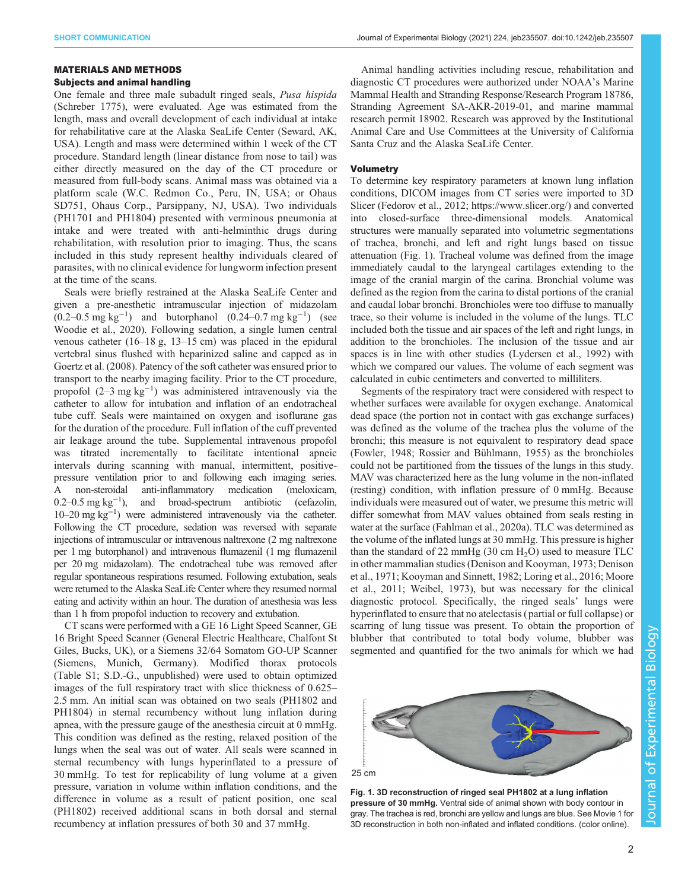#### MATERIALS AND METHODS

## Subjects and animal handling

One female and three male subadult ringed seals, Pusa hispida (Schreber 1775), were evaluated. Age was estimated from the length, mass and overall development of each individual at intake for rehabilitative care at the Alaska SeaLife Center (Seward, AK, USA). Length and mass were determined within 1 week of the CT procedure. Standard length (linear distance from nose to tail) was either directly measured on the day of the CT procedure or measured from full-body scans. Animal mass was obtained via a platform scale (W.C. Redmon Co., Peru, IN, USA; or Ohaus SD751, Ohaus Corp., Parsippany, NJ, USA). Two individuals (PH1701 and PH1804) presented with verminous pneumonia at intake and were treated with anti-helminthic drugs during rehabilitation, with resolution prior to imaging. Thus, the scans included in this study represent healthy individuals cleared of parasites, with no clinical evidence for lungworm infection present at the time of the scans.

Seals were briefly restrained at the Alaska SeaLife Center and given a pre-anesthetic intramuscular injection of midazolam  $(0.2-0.5 \text{ mg kg}^{-1})$  and butorphanol  $(0.24-0.7 \text{ mg kg}^{-1})$  (see [Woodie et al., 2020\)](#page-5-0). Following sedation, a single lumen central venous catheter (16–18 g, 13–15 cm) was placed in the epidural vertebral sinus flushed with heparinized saline and capped as in [Goertz et al. \(2008\)](#page-5-0). Patency of the soft catheter was ensured prior to transport to the nearby imaging facility. Prior to the CT procedure, propofol  $(2-3 \text{ mg kg}^{-1})$  was administered intravenously via the catheter to allow for intubation and inflation of an endotracheal tube cuff. Seals were maintained on oxygen and isoflurane gas for the duration of the procedure. Full inflation of the cuff prevented air leakage around the tube. Supplemental intravenous propofol was titrated incrementally to facilitate intentional apneic intervals during scanning with manual, intermittent, positivepressure ventilation prior to and following each imaging series. A non-steroidal anti-inflammatory medication (meloxicam, 0.2–0.5 mg kg−<sup>1</sup> ), and broad-spectrum antibiotic (cefazolin, 10–20 mg kg−<sup>1</sup> ) were administered intravenously via the catheter. Following the CT procedure, sedation was reversed with separate injections of intramuscular or intravenous naltrexone (2 mg naltrexone per 1 mg butorphanol) and intravenous flumazenil (1 mg flumazenil per 20 mg midazolam). The endotracheal tube was removed after regular spontaneous respirations resumed. Following extubation, seals were returned to the Alaska SeaLife Center where they resumed normal eating and activity within an hour. The duration of anesthesia was less than 1 h from propofol induction to recovery and extubation.

CT scans were performed with a GE 16 Light Speed Scanner, GE 16 Bright Speed Scanner (General Electric Healthcare, Chalfont St Giles, Bucks, UK), or a Siemens 32/64 Somatom GO-UP Scanner (Siemens, Munich, Germany). Modified thorax protocols [\(Table S1](http://jeb.biologists.org/lookup/doi/10.1242/jeb235507.supplemental); S.D.-G., unpublished) were used to obtain optimized images of the full respiratory tract with slice thickness of 0.625– 2.5 mm. An initial scan was obtained on two seals (PH1802 and PH1804) in sternal recumbency without lung inflation during apnea, with the pressure gauge of the anesthesia circuit at 0 mmHg. This condition was defined as the resting, relaxed position of the lungs when the seal was out of water. All seals were scanned in sternal recumbency with lungs hyperinflated to a pressure of 30 mmHg. To test for replicability of lung volume at a given pressure, variation in volume within inflation conditions, and the difference in volume as a result of patient position, one seal (PH1802) received additional scans in both dorsal and sternal recumbency at inflation pressures of both 30 and 37 mmHg.

Animal handling activities including rescue, rehabilitation and diagnostic CT procedures were authorized under NOAA's Marine Mammal Health and Stranding Response/Research Program 18786, Stranding Agreement SA-AKR-2019-01, and marine mammal research permit 18902. Research was approved by the Institutional Animal Care and Use Committees at the University of California Santa Cruz and the Alaska SeaLife Center.

## Volumetry

To determine key respiratory parameters at known lung inflation conditions, DICOM images from CT series were imported to 3D Slicer [\(Fedorov et al., 2012;](#page-5-0)<https://www.slicer.org/>) and converted into closed-surface three-dimensional models. Anatomical structures were manually separated into volumetric segmentations of trachea, bronchi, and left and right lungs based on tissue attenuation (Fig. 1). Tracheal volume was defined from the image immediately caudal to the laryngeal cartilages extending to the image of the cranial margin of the carina. Bronchial volume was defined as the region from the carina to distal portions of the cranial and caudal lobar bronchi. Bronchioles were too diffuse to manually trace, so their volume is included in the volume of the lungs. TLC included both the tissue and air spaces of the left and right lungs, in addition to the bronchioles. The inclusion of the tissue and air spaces is in line with other studies [\(Lydersen et al., 1992](#page-5-0)) with which we compared our values. The volume of each segment was calculated in cubic centimeters and converted to milliliters.

Segments of the respiratory tract were considered with respect to whether surfaces were available for oxygen exchange. Anatomical dead space (the portion not in contact with gas exchange surfaces) was defined as the volume of the trachea plus the volume of the bronchi; this measure is not equivalent to respiratory dead space [\(Fowler, 1948; Rossier and Bühlmann, 1955\)](#page-5-0) as the bronchioles could not be partitioned from the tissues of the lungs in this study. MAV was characterized here as the lung volume in the non-inflated (resting) condition, with inflation pressure of 0 mmHg. Because individuals were measured out of water, we presume this metric will differ somewhat from MAV values obtained from seals resting in water at the surface [\(Fahlman et al., 2020a](#page-5-0)). TLC was determined as the volume of the inflated lungs at 30 mmHg. This pressure is higher than the standard of 22 mmHg  $(30 \text{ cm H}_2\text{O})$  used to measure TLC in other mammalian studies [\(Denison and Kooyman, 1973](#page-5-0); [Denison](#page-5-0) [et al., 1971; Kooyman and Sinnett, 1982; Loring et al., 2016; Moore](#page-5-0) [et al., 2011](#page-5-0); [Weibel, 1973](#page-5-0)), but was necessary for the clinical diagnostic protocol. Specifically, the ringed seals' lungs were hyperinflated to ensure that no atelectasis ( partial or full collapse) or scarring of lung tissue was present. To obtain the proportion of blubber that contributed to total body volume, blubber was segmented and quantified for the two animals for which we had



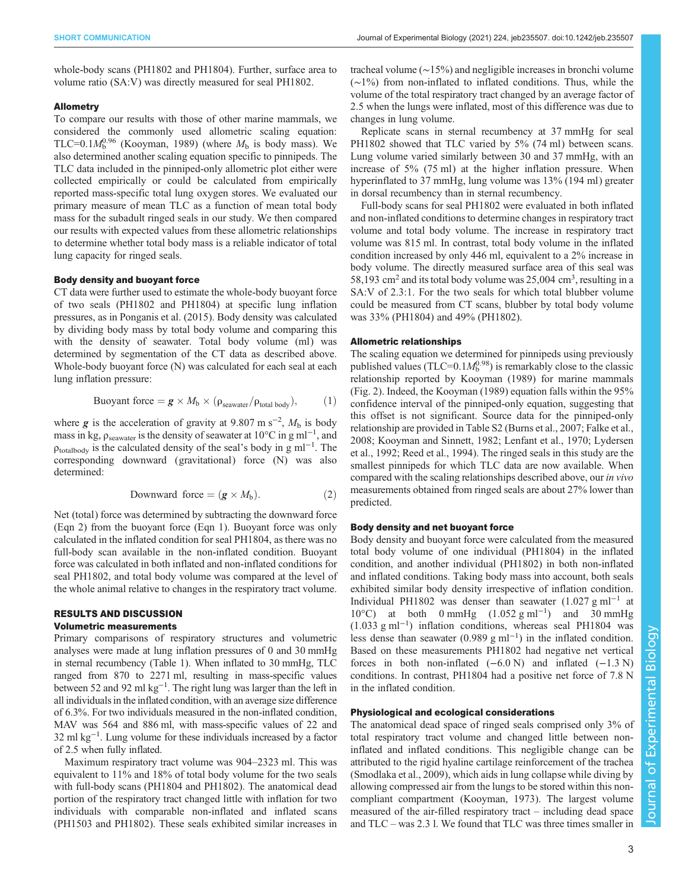whole-body scans (PH1802 and PH1804). Further, surface area to volume ratio (SA:V) was directly measured for seal PH1802.

#### Allometry

To compare our results with those of other marine mammals, we considered the commonly used allometric scaling equation: TLC=0.1 $M_b^{0.96}$  [\(Kooyman, 1989](#page-5-0)) (where  $M_b$  is body mass). We also determined another scaling equation specific to pinnipeds. The TLC data included in the pinniped-only allometric plot either were collected empirically or could be calculated from empirically reported mass-specific total lung oxygen stores. We evaluated our primary measure of mean TLC as a function of mean total body mass for the subadult ringed seals in our study. We then compared our results with expected values from these allometric relationships to determine whether total body mass is a reliable indicator of total lung capacity for ringed seals.

## Body density and buoyant force

CT data were further used to estimate the whole-body buoyant force of two seals (PH1802 and PH1804) at specific lung inflation pressures, as in [Ponganis et al. \(2015\).](#page-5-0) Body density was calculated by dividing body mass by total body volume and comparing this with the density of seawater. Total body volume (ml) was determined by segmentation of the CT data as described above. Whole-body buoyant force (N) was calculated for each seal at each lung inflation pressure:

$$
Buoyant force = \mathbf{g} \times M_b \times (\rho_{seawater}/\rho_{total\ body}), \tag{1}
$$

where g is the acceleration of gravity at 9.807 m s<sup>-2</sup>,  $M_b$  is body<br>mass in kg o solution is the density of seawater at 10°C in g ml<sup>-1</sup> and mass in kg,  $\rho_{\text{seawater}}$  is the density of seawater at 10°C in g ml<sup>-1</sup>, and  $\rho_{\text{totalbody}}$  is the calculated density of the seal's body in g ml<sup>-1</sup>. The corresponding downward (gravitational) force (N) was also determined:

$$
Downward force = (\mathbf{g} \times M_b). \tag{2}
$$

Net (total) force was determined by subtracting the downward force (Eqn 2) from the buoyant force (Eqn 1). Buoyant force was only calculated in the inflated condition for seal PH1804, as there was no full-body scan available in the non-inflated condition. Buoyant force was calculated in both inflated and non-inflated conditions for seal PH1802, and total body volume was compared at the level of the whole animal relative to changes in the respiratory tract volume.

# RESULTS AND DISCUSSION

## Volumetric measurements

Primary comparisons of respiratory structures and volumetric analyses were made at lung inflation pressures of 0 and 30 mmHg in sternal recumbency [\(Table 1\)](#page-3-0). When inflated to 30 mmHg, TLC ranged from 870 to 2271 ml, resulting in mass-specific values between 52 and 92 ml  $kg^{-1}$ . The right lung was larger than the left in all individuals in the inflated condition, with an average size difference of 6.3%. For two individuals measured in the non-inflated condition, MAV was 564 and 886 ml, with mass-specific values of 22 and 32 ml kg<sup>-1</sup>. Lung volume for these individuals increased by a factor of 2.5 when fully inflated.

Maximum respiratory tract volume was 904–2323 ml. This was equivalent to 11% and 18% of total body volume for the two seals with full-body scans (PH1804 and PH1802). The anatomical dead portion of the respiratory tract changed little with inflation for two individuals with comparable non-inflated and inflated scans (PH1503 and PH1802). These seals exhibited similar increases in tracheal volume (∼15%) and negligible increases in bronchi volume (∼1%) from non-inflated to inflated conditions. Thus, while the volume of the total respiratory tract changed by an average factor of 2.5 when the lungs were inflated, most of this difference was due to changes in lung volume.

Replicate scans in sternal recumbency at 37 mmHg for seal PH1802 showed that TLC varied by 5% (74 ml) between scans. Lung volume varied similarly between 30 and 37 mmHg, with an increase of 5% (75 ml) at the higher inflation pressure. When hyperinflated to 37 mmHg, lung volume was 13% (194 ml) greater in dorsal recumbency than in sternal recumbency.

Full-body scans for seal PH1802 were evaluated in both inflated and non-inflated conditions to determine changes in respiratory tract volume and total body volume. The increase in respiratory tract volume was 815 ml. In contrast, total body volume in the inflated condition increased by only 446 ml, equivalent to a 2% increase in body volume. The directly measured surface area of this seal was 58,193 cm<sup>2</sup> and its total body volume was  $25,004$  cm<sup>3</sup>, resulting in a SA:V of 2.3:1. For the two seals for which total blubber volume could be measured from CT scans, blubber by total body volume was 33% (PH1804) and 49% (PH1802).

#### Allometric relationships

The scaling equation we determined for pinnipeds using previously published values (TLC=0.1 $M_b^{0.98}$ ) is remarkably close to the classic relationship reported by [Kooyman \(1989\)](#page-5-0) for marine mammals [\(Fig. 2\)](#page-4-0). Indeed, the [Kooyman \(1989\)](#page-5-0) equation falls within the 95% confidence interval of the pinniped-only equation, suggesting that this offset is not significant. Source data for the pinniped-only relationship are provided in [Table S2](http://jeb.biologists.org/lookup/doi/10.1242/jeb235507.supplemental) [\(Burns et al., 2007](#page-5-0); [Falke et al.,](#page-5-0) [2008; Kooyman and Sinnett, 1982; Lenfant et al., 1970; Lydersen](#page-5-0) [et al., 1992](#page-5-0); [Reed et al., 1994\)](#page-5-0). The ringed seals in this study are the smallest pinnipeds for which TLC data are now available. When compared with the scaling relationships described above, our in vivo measurements obtained from ringed seals are about 27% lower than predicted.

#### Body density and net buoyant force

Body density and buoyant force were calculated from the measured total body volume of one individual (PH1804) in the inflated condition, and another individual (PH1802) in both non-inflated and inflated conditions. Taking body mass into account, both seals exhibited similar body density irrespective of inflation condition. Individual PH1802 was denser than seawater  $(1.027 \text{ g m}^{-1})$  at 10°C) at both 0 mmHg (1.052 g ml−<sup>1</sup> ) and 30 mmHg (1.033 g ml−<sup>1</sup> ) inflation conditions, whereas seal PH1804 was less dense than seawater (0.989 g ml<sup>-1</sup>) in the inflated condition. Based on these measurements PH1802 had negative net vertical forces in both non-inflated  $(-6.0 \text{ N})$  and inflated  $(-1.3 \text{ N})$ conditions. In contrast, PH1804 had a positive net force of 7.8 N in the inflated condition.

## Physiological and ecological considerations

The anatomical dead space of ringed seals comprised only 3% of total respiratory tract volume and changed little between noninflated and inflated conditions. This negligible change can be attributed to the rigid hyaline cartilage reinforcement of the trachea [\(Smodlaka et al., 2009\)](#page-5-0), which aids in lung collapse while diving by allowing compressed air from the lungs to be stored within this noncompliant compartment ([Kooyman, 1973](#page-5-0)). The largest volume measured of the air-filled respiratory tract – including dead space and TLC – was 2.3 l. We found that TLC was three times smaller in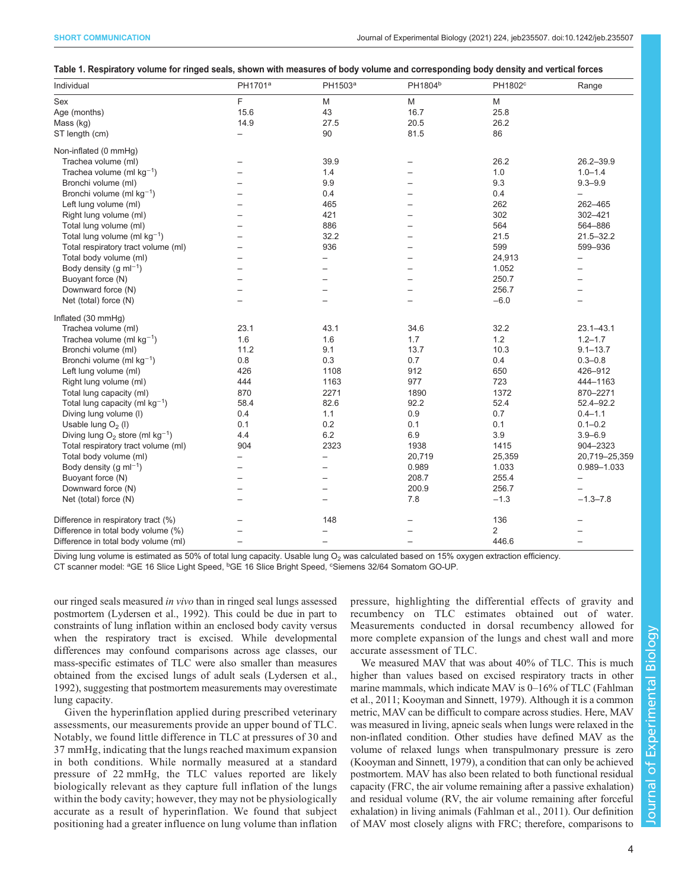<span id="page-3-0"></span>

|  |  | Table 1. Respiratory volume for ringed seals, shown with measures of body volume and corresponding body density and vertical forces |
|--|--|-------------------------------------------------------------------------------------------------------------------------------------|
|  |  |                                                                                                                                     |

| Individual                                     | PH1701 <sup>a</sup>      | PH1503 <sup>a</sup>      | PH1804 <sup>b</sup>      | PH1802°        | Range                    |
|------------------------------------------------|--------------------------|--------------------------|--------------------------|----------------|--------------------------|
| Sex                                            | E                        | M                        | M                        | M              |                          |
| Age (months)                                   | 15.6                     | 43                       | 16.7                     | 25.8           |                          |
| Mass (kg)                                      | 14.9                     | 27.5                     | 20.5                     | 26.2           |                          |
| ST length (cm)                                 |                          | 90                       | 81.5                     | 86             |                          |
| Non-inflated (0 mmHg)                          |                          |                          |                          |                |                          |
| Trachea volume (ml)                            |                          | 39.9                     |                          | 26.2           | $26.2 - 39.9$            |
| Trachea volume (ml $kg^{-1}$ )                 | $\overline{\phantom{0}}$ | 1.4                      | $\equiv$                 | 1.0            | $1.0 - 1.4$              |
| Bronchi volume (ml)                            |                          | 9.9                      | $\equiv$                 | 9.3            | $9.3 - 9.9$              |
| Bronchi volume (ml $kg^{-1}$ )                 |                          | 0.4                      | -                        | 0.4            |                          |
| Left lung volume (ml)                          | $=$                      | 465                      | $\overline{\phantom{0}}$ | 262            | 262-465                  |
| Right lung volume (ml)                         |                          | 421                      | $\overline{\phantom{0}}$ | 302            | 302-421                  |
| Total lung volume (ml)                         |                          | 886                      | -                        | 564            | 564-886                  |
| Total lung volume (ml $kg^{-1}$ )              | $=$                      | 32.2                     | $\overline{\phantom{0}}$ | 21.5           | $21.5 - 32.2$            |
| Total respiratory tract volume (ml)            | $=$                      | 936                      | $\overline{\phantom{0}}$ | 599            | 599-936                  |
| Total body volume (ml)                         |                          | $\overline{\phantom{0}}$ | -                        | 24,913         | $\overline{\phantom{0}}$ |
| Body density (g $ml^{-1}$ )                    | $=$                      | $=$                      | $\equiv$                 | 1.052          | $\equiv$                 |
| Buoyant force (N)                              |                          |                          |                          | 250.7          |                          |
| Downward force (N)                             | $=$                      |                          | $\equiv$                 | 256.7          |                          |
| Net (total) force (N)                          | $\overline{\phantom{0}}$ |                          | $\overline{\phantom{0}}$ | $-6.0$         | $\overline{\phantom{0}}$ |
| Inflated (30 mmHg)                             |                          |                          |                          |                |                          |
| Trachea volume (ml)                            | 23.1                     | 43.1                     | 34.6                     | 32.2           | $23.1 - 43.1$            |
| Trachea volume (ml $kg^{-1}$ )                 | 1.6                      | 1.6                      | 1.7                      | 1.2            | $1.2 - 1.7$              |
| Bronchi volume (ml)                            | 11.2                     | 9.1                      | 13.7                     | 10.3           | $9.1 - 13.7$             |
| Bronchi volume (ml $kg^{-1}$ )                 | 0.8                      | 0.3                      | 0.7                      | 0.4            | $0.3 - 0.8$              |
| Left lung volume (ml)                          | 426                      | 1108                     | 912                      | 650            | 426-912                  |
| Right lung volume (ml)                         | 444                      | 1163                     | 977                      | 723            | 444-1163                 |
| Total lung capacity (ml)                       | 870                      | 2271                     | 1890                     | 1372           | 870-2271                 |
| Total lung capacity (ml $kg^{-1}$ )            | 58.4                     | 82.6                     | 92.2                     | 52.4           | $52.4 - 92.2$            |
| Diving lung volume (I)                         | 0.4                      | 1.1                      | 0.9                      | 0.7            | $0.4 - 1.1$              |
| Usable lung $O2$ (I)                           | 0.1                      | 0.2                      | 0.1                      | 0.1            | $0.1 - 0.2$              |
| Diving lung $O_2$ store (ml kg <sup>-1</sup> ) | 4.4                      | 6.2                      | 6.9                      | 3.9            | $3.9 - 6.9$              |
| Total respiratory tract volume (ml)            | 904                      | 2323                     | 1938                     | 1415           | 904-2323                 |
| Total body volume (ml)                         | $\overline{\phantom{0}}$ | $\equiv$                 | 20,719                   | 25,359         | 20,719-25,359            |
| Body density (g $ml^{-1}$ )                    |                          |                          | 0.989                    | 1.033          | 0.989-1.033              |
| Buoyant force (N)                              | $\overline{\phantom{0}}$ | $\overline{\phantom{0}}$ | 208.7                    | 255.4          | $\overline{\phantom{m}}$ |
| Downward force (N)                             | $\overline{\phantom{0}}$ | $\equiv$                 | 200.9                    | 256.7          |                          |
| Net (total) force (N)                          | $\overline{\phantom{0}}$ |                          | 7.8                      | $-1.3$         | $-1.3 - 7.8$             |
| Difference in respiratory tract (%)            |                          | 148                      |                          | 136            |                          |
| Difference in total body volume (%)            |                          |                          |                          | $\overline{2}$ |                          |
| Difference in total body volume (ml)           | $\overline{\phantom{0}}$ | $\overline{\phantom{0}}$ | $\overline{\phantom{0}}$ | 446.6          | $\overline{\phantom{m}}$ |

Diving lung volume is estimated as 50% of total lung capacity. Usable lung  $O_2$  was calculated based on 15% oxygen extraction efficiency.

CT scanner model: <sup>a</sup>GE 16 Slice Light Speed, <sup>b</sup>GE 16 Slice Bright Speed, <sup>c</sup>Siemens 32/64 Somatom GO-UP.

our ringed seals measured in vivo than in ringed seal lungs assessed postmortem [\(Lydersen et al., 1992\)](#page-5-0). This could be due in part to constraints of lung inflation within an enclosed body cavity versus when the respiratory tract is excised. While developmental differences may confound comparisons across age classes, our mass-specific estimates of TLC were also smaller than measures obtained from the excised lungs of adult seals ([Lydersen et al.,](#page-5-0) [1992](#page-5-0)), suggesting that postmortem measurements may overestimate lung capacity.

Given the hyperinflation applied during prescribed veterinary assessments, our measurements provide an upper bound of TLC. Notably, we found little difference in TLC at pressures of 30 and 37 mmHg, indicating that the lungs reached maximum expansion in both conditions. While normally measured at a standard pressure of 22 mmHg, the TLC values reported are likely biologically relevant as they capture full inflation of the lungs within the body cavity; however, they may not be physiologically accurate as a result of hyperinflation. We found that subject positioning had a greater influence on lung volume than inflation pressure, highlighting the differential effects of gravity and recumbency on TLC estimates obtained out of water. Measurements conducted in dorsal recumbency allowed for more complete expansion of the lungs and chest wall and more accurate assessment of TLC.

We measured MAV that was about 40% of TLC. This is much higher than values based on excised respiratory tracts in other marine mammals, which indicate MAV is 0–16% of TLC [\(Fahlman](#page-5-0) [et al., 2011; Kooyman and Sinnett, 1979\)](#page-5-0). Although it is a common metric, MAV can be difficult to compare across studies. Here, MAV was measured in living, apneic seals when lungs were relaxed in the non-inflated condition. Other studies have defined MAV as the volume of relaxed lungs when transpulmonary pressure is zero [\(Kooyman and Sinnett, 1979\)](#page-5-0), a condition that can only be achieved postmortem. MAV has also been related to both functional residual capacity (FRC, the air volume remaining after a passive exhalation) and residual volume (RV, the air volume remaining after forceful exhalation) in living animals [\(Fahlman et al., 2011](#page-5-0)). Our definition of MAV most closely aligns with FRC; therefore, comparisons to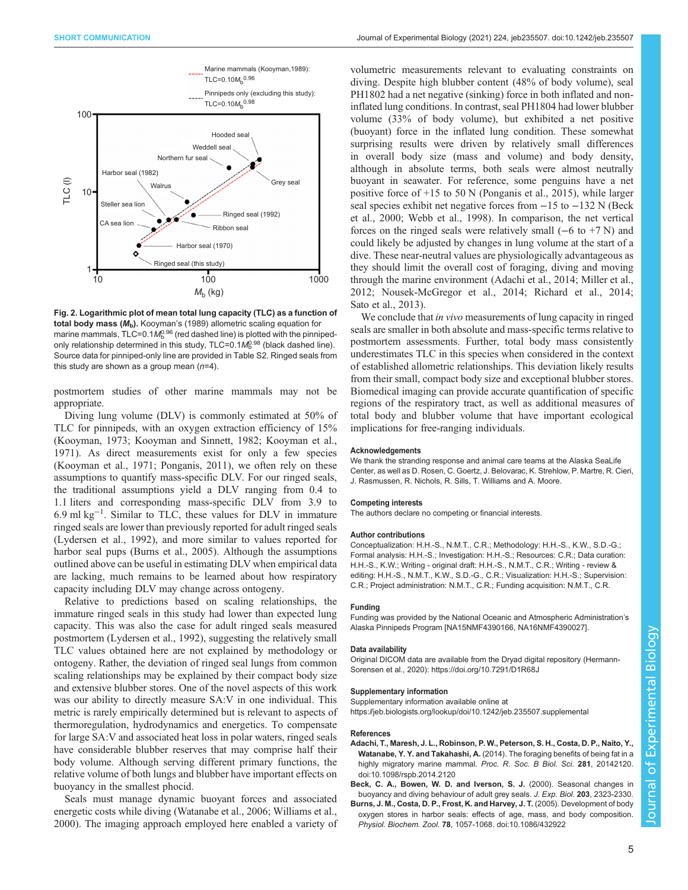<span id="page-4-0"></span>

Fig. 2. Logarithmic plot of mean total lung capacity (TLC) as a function of total body mass  $(M_b)$ . [Kooyman](#page-5-0)'s (1989) allometric scaling equation for marine mammals, TLC=0.1 $\mathcal{M}_\mathrm{b}^{0.96}$  (red dashed line) is plotted with the pinnipedonly relationship determined in this study,  $\mathsf{TLC}=0.1\mathsf{M}_{\mathsf{b}}^{0.98}$  (black dashed line). Source data for pinniped-only line are provided in [Table S2](http://jeb.biologists.org/lookup/doi/10.1242/jeb235507.supplemental). Ringed seals from this study are shown as a group mean  $(n=4)$ .

postmortem studies of other marine mammals may not be appropriate.

Diving lung volume (DLV) is commonly estimated at 50% of TLC for pinnipeds, with an oxygen extraction efficiency of 15% [\(Kooyman, 1973; Kooyman and Sinnett, 1982](#page-5-0); [Kooyman et al.,](#page-5-0) [1971](#page-5-0)). As direct measurements exist for only a few species [\(Kooyman et al., 1971; Ponganis, 2011\)](#page-5-0), we often rely on these assumptions to quantify mass-specific DLV. For our ringed seals, the traditional assumptions yield a DLV ranging from 0.4 to 1.1 liters and corresponding mass-specific DLV from 3.9 to 6.9 ml kg−<sup>1</sup> . Similar to TLC, these values for DLV in immature ringed seals are lower than previously reported for adult ringed seals [\(Lydersen et al., 1992](#page-5-0)), and more similar to values reported for harbor seal pups (Burns et al., 2005). Although the assumptions outlined above can be useful in estimating DLV when empirical data are lacking, much remains to be learned about how respiratory capacity including DLV may change across ontogeny.

Relative to predictions based on scaling relationships, the immature ringed seals in this study had lower than expected lung capacity. This was also the case for adult ringed seals measured postmortem [\(Lydersen et al., 1992](#page-5-0)), suggesting the relatively small TLC values obtained here are not explained by methodology or ontogeny. Rather, the deviation of ringed seal lungs from common scaling relationships may be explained by their compact body size and extensive blubber stores. One of the novel aspects of this work was our ability to directly measure SA:V in one individual. This metric is rarely empirically determined but is relevant to aspects of thermoregulation, hydrodynamics and energetics. To compensate for large SA:V and associated heat loss in polar waters, ringed seals have considerable blubber reserves that may comprise half their body volume. Although serving different primary functions, the relative volume of both lungs and blubber have important effects on buoyancy in the smallest phocid.

Seals must manage dynamic buoyant forces and associated energetic costs while diving ([Watanabe et al., 2006; Williams et al.,](#page-5-0) [2000](#page-5-0)). The imaging approach employed here enabled a variety of

volumetric measurements relevant to evaluating constraints on diving. Despite high blubber content (48% of body volume), seal PH1802 had a net negative (sinking) force in both inflated and noninflated lung conditions. In contrast, seal PH1804 had lower blubber volume (33% of body volume), but exhibited a net positive (buoyant) force in the inflated lung condition. These somewhat surprising results were driven by relatively small differences in overall body size (mass and volume) and body density, although in absolute terms, both seals were almost neutrally buoyant in seawater. For reference, some penguins have a net positive force of +15 to 50 N ([Ponganis et al., 2015](#page-5-0)), while larger seal species exhibit net negative forces from −15 to −132 N (Beck et al., 2000; [Webb et al., 1998](#page-5-0)). In comparison, the net vertical forces on the ringed seals were relatively small  $(-6 \text{ to } +7 \text{ N})$  and could likely be adjusted by changes in lung volume at the start of a dive. These near-neutral values are physiologically advantageous as they should limit the overall cost of foraging, diving and moving through the marine environment (Adachi et al., 2014; [Miller et al.,](#page-5-0) [2012; Nousek-McGregor et al., 2014; Richard et al., 2014](#page-5-0); [Sato et al., 2013\)](#page-5-0).

We conclude that *in vivo* measurements of lung capacity in ringed seals are smaller in both absolute and mass-specific terms relative to postmortem assessments. Further, total body mass consistently underestimates TLC in this species when considered in the context of established allometric relationships. This deviation likely results from their small, compact body size and exceptional blubber stores. Biomedical imaging can provide accurate quantification of specific regions of the respiratory tract, as well as additional measures of total body and blubber volume that have important ecological implications for free-ranging individuals.

#### **Acknowledgements**

We thank the stranding response and animal care teams at the Alaska SeaLife Center, as well as D. Rosen, C. Goertz, J. Belovarac, K. Strehlow, P. Martre, R. Cieri, J. Rasmussen, R. Nichols, R. Sills, T. Williams and A. Moore.

#### Competing interests

The authors declare no competing or financial interests.

#### Author contributions

Conceptualization: H.H.-S., N.M.T., C.R.; Methodology: H.H.-S., K.W., S.D.-G.; Formal analysis: H.H.-S.; Investigation: H.H.-S.; Resources: C.R.; Data curation: H.H.-S., K.W.; Writing - original draft: H.H.-S., N.M.T., C.R.; Writing - review & editing: H.H.-S., N.M.T., K.W., S.D.-G., C.R.; Visualization: H.H.-S.; Supervision: C.R.; Project administration: N.M.T., C.R.; Funding acquisition: N.M.T., C.R.

#### Funding

Funding was provided by the National Oceanic and Atmospheric Administration's Alaska Pinnipeds Program [NA15NMF4390166, NA16NMF4390027].

#### Data availability

Original DICOM data are available from the Dryad digital repository [\(Hermann-](#page-5-0)[Sorensen et al., 2020\)](#page-5-0):<https://doi.org/10.7291/D1R68J>

#### Supplementary information

Supplementary information available online at <https://jeb.biologists.org/lookup/doi/10.1242/jeb.235507.supplemental>

#### References

- [Adachi, T., Maresh, J. L., Robinson, P. W., Peterson, S. H., Costa, D. P., Naito, Y.,](https://doi.org/10.1098/rspb.2014.2120) Watanabe, Y. Y. and Takahashi, A. [\(2014\). The foraging benefits of being fat in a](https://doi.org/10.1098/rspb.2014.2120) [highly migratory marine mammal.](https://doi.org/10.1098/rspb.2014.2120) Proc. R. Soc. B Biol. Sci. 281, 20142120. [doi:10.1098/rspb.2014.2120](https://doi.org/10.1098/rspb.2014.2120)
- Beck, C. A., Bowen, W. D. and Iverson, S. J. (2000). Seasonal changes in buoyancy and diving behaviour of adult grey seals. J. Exp. Biol. 203, 2323-2330.
- [Burns, J. M., Costa, D. P., Frost, K. and Harvey, J. T.](https://doi.org/10.1086/432922) (2005). Development of body [oxygen stores in harbor seals: effects of age, mass, and body composition.](https://doi.org/10.1086/432922) Physiol. Biochem. Zool. 78[, 1057-1068. doi:10.1086/432922](https://doi.org/10.1086/432922)